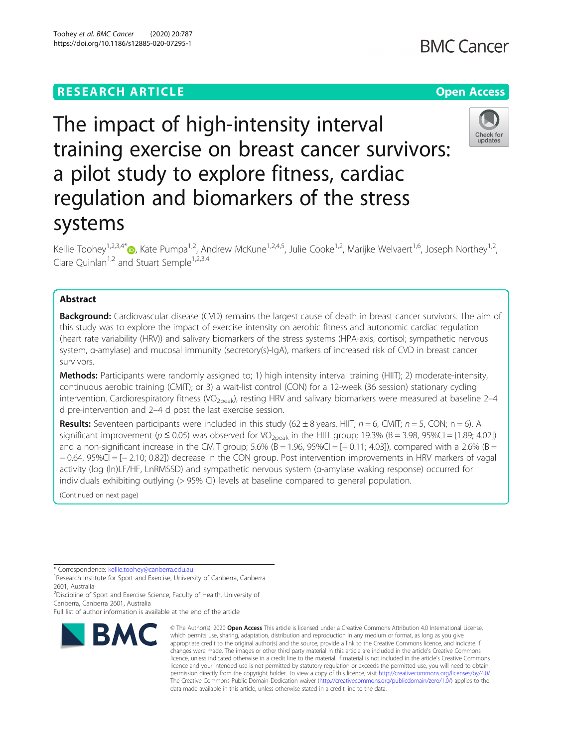# **RESEARCH ARTICLE Example 2014 12:30 The Contract of Contract ACCESS**

# The impact of high-intensity interval training exercise on breast cancer survivors: a pilot study to explore fitness, cardiac regulation and biomarkers of the stress systems

Kellie Toohey<sup>1,2,3,4[\\*](http://orcid.org/0000-0002-1776-6200)</sup> $\bullet$ , Kate Pumpa<sup>1,2</sup>, Andrew McKune<sup>1,2,4,5</sup>, Julie Cooke<sup>1,2</sup>, Marijke Welvaert<sup>1,6</sup>, Joseph Northey<sup>1,2</sup>, Clare Quinlan<sup>1,2</sup> and Stuart Semple<sup>1,2,3,4</sup>

# Abstract

**Background:** Cardiovascular disease (CVD) remains the largest cause of death in breast cancer survivors. The aim of this study was to explore the impact of exercise intensity on aerobic fitness and autonomic cardiac regulation (heart rate variability (HRV)) and salivary biomarkers of the stress systems (HPA-axis, cortisol; sympathetic nervous system, α-amylase) and mucosal immunity (secretory(s)-IgA), markers of increased risk of CVD in breast cancer survivors.

Methods: Participants were randomly assigned to; 1) high intensity interval training (HIIT); 2) moderate-intensity, continuous aerobic training (CMIT); or 3) a wait-list control (CON) for a 12-week (36 session) stationary cycling intervention. Cardiorespiratory fitness (VO<sub>2peak</sub>), resting HRV and salivary biomarkers were measured at baseline 2–4 d pre-intervention and 2–4 d post the last exercise session.

**Results:** Seventeen participants were included in this study (62 ± 8 years, HIIT;  $n = 6$ , CMIT;  $n = 5$ , CON;  $n = 6$ ). A significant improvement ( $p \le 0.05$ ) was observed for VO<sub>2peak</sub> in the HIIT group; 19.3% (B = 3.98, 95%CI = [1.89; 4.02]) and a non-significant increase in the CMIT group;  $5.6\%$  (B = 1.96,  $95\%$ CI = [-0.11; 4.03]), compared with a 2.6% (B = − 0.64, 95%CI = [− 2.10; 0.82]) decrease in the CON group. Post intervention improvements in HRV markers of vagal activity (log (ln)LF/HF, LnRMSSD) and sympathetic nervous system (α-amylase waking response) occurred for individuals exhibiting outlying (> 95% CI) levels at baseline compared to general population.

(Continued on next page)

\* Correspondence: [kellie.toohey@canberra.edu.au](mailto:kellie.toohey@canberra.edu.au) <sup>1</sup>

<sup>1</sup> Research Institute for Sport and Exercise, University of Canberra, Canberra 2601, Australia

<sup>2</sup>Discipline of Sport and Exercise Science, Faculty of Health, University of Canberra, Canberra 2601, Australia





Full list of author information is available at the end of the article

<sup>©</sup> The Author(s), 2020 **Open Access** This article is licensed under a Creative Commons Attribution 4.0 International License, which permits use, sharing, adaptation, distribution and reproduction in any medium or format, as long as you give appropriate credit to the original author(s) and the source, provide a link to the Creative Commons licence, and indicate if changes were made. The images or other third party material in this article are included in the article's Creative Commons licence, unless indicated otherwise in a credit line to the material. If material is not included in the article's Creative Commons licence and your intended use is not permitted by statutory regulation or exceeds the permitted use, you will need to obtain permission directly from the copyright holder. To view a copy of this licence, visit [http://creativecommons.org/licenses/by/4.0/.](http://creativecommons.org/licenses/by/4.0/) The Creative Commons Public Domain Dedication waiver [\(http://creativecommons.org/publicdomain/zero/1.0/](http://creativecommons.org/publicdomain/zero/1.0/)) applies to the data made available in this article, unless otherwise stated in a credit line to the data.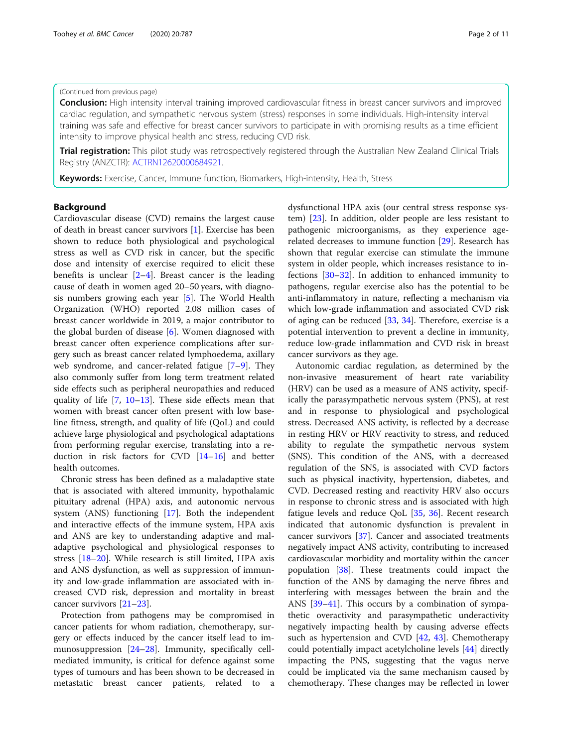### (Continued from previous page)

**Conclusion:** High intensity interval training improved cardiovascular fitness in breast cancer survivors and improved cardiac regulation, and sympathetic nervous system (stress) responses in some individuals. High-intensity interval training was safe and effective for breast cancer survivors to participate in with promising results as a time efficient intensity to improve physical health and stress, reducing CVD risk.

**Trial registration:** This pilot study was retrospectively registered through the Australian New Zealand Clinical Trials Registry (ANZCTR): [ACTRN12620000684921.](https://www.anzctr.org.au/TrialSearch.aspx#&&conditionCode=&dateOfRegistrationFrom=&interventionDescription=&interventionCodeOperator=OR&primarySponsorType=&gender=&distance=&postcode=&pageSize=20&ageGroup=&recruitmentCountryOperator=OR&recruitmentRegion=)

Keywords: Exercise, Cancer, Immune function, Biomarkers, High-intensity, Health, Stress

# Background

Cardiovascular disease (CVD) remains the largest cause of death in breast cancer survivors [[1\]](#page-8-0). Exercise has been shown to reduce both physiological and psychological stress as well as CVD risk in cancer, but the specific dose and intensity of exercise required to elicit these benefits is unclear  $[2-4]$  $[2-4]$  $[2-4]$  $[2-4]$ . Breast cancer is the leading cause of death in women aged 20–50 years, with diagnosis numbers growing each year [[5\]](#page-8-0). The World Health Organization (WHO) reported 2.08 million cases of breast cancer worldwide in 2019, a major contributor to the global burden of disease [[6\]](#page-9-0). Women diagnosed with breast cancer often experience complications after surgery such as breast cancer related lymphoedema, axillary web syndrome, and cancer-related fatigue [[7](#page-9-0)–[9\]](#page-9-0). They also commonly suffer from long term treatment related side effects such as peripheral neuropathies and reduced quality of life [\[7](#page-9-0), [10](#page-9-0)–[13](#page-9-0)]. These side effects mean that women with breast cancer often present with low baseline fitness, strength, and quality of life (QoL) and could achieve large physiological and psychological adaptations from performing regular exercise, translating into a reduction in risk factors for CVD [[14](#page-9-0)–[16](#page-9-0)] and better health outcomes.

Chronic stress has been defined as a maladaptive state that is associated with altered immunity, hypothalamic pituitary adrenal (HPA) axis, and autonomic nervous system (ANS) functioning [\[17](#page-9-0)]. Both the independent and interactive effects of the immune system, HPA axis and ANS are key to understanding adaptive and maladaptive psychological and physiological responses to stress [\[18](#page-9-0)–[20\]](#page-9-0). While research is still limited, HPA axis and ANS dysfunction, as well as suppression of immunity and low-grade inflammation are associated with increased CVD risk, depression and mortality in breast cancer survivors [\[21](#page-9-0)–[23\]](#page-9-0).

Protection from pathogens may be compromised in cancer patients for whom radiation, chemotherapy, surgery or effects induced by the cancer itself lead to immunosuppression [[24](#page-9-0)–[28\]](#page-9-0). Immunity, specifically cellmediated immunity, is critical for defence against some types of tumours and has been shown to be decreased in metastatic breast cancer patients, related to a dysfunctional HPA axis (our central stress response system) [[23](#page-9-0)]. In addition, older people are less resistant to pathogenic microorganisms, as they experience agerelated decreases to immune function [\[29\]](#page-9-0). Research has shown that regular exercise can stimulate the immune system in older people, which increases resistance to infections [[30](#page-9-0)–[32\]](#page-9-0). In addition to enhanced immunity to pathogens, regular exercise also has the potential to be anti-inflammatory in nature, reflecting a mechanism via which low-grade inflammation and associated CVD risk of aging can be reduced [[33,](#page-9-0) [34\]](#page-9-0). Therefore, exercise is a potential intervention to prevent a decline in immunity, reduce low-grade inflammation and CVD risk in breast cancer survivors as they age.

Autonomic cardiac regulation, as determined by the non-invasive measurement of heart rate variability (HRV) can be used as a measure of ANS activity, specifically the parasympathetic nervous system (PNS), at rest and in response to physiological and psychological stress. Decreased ANS activity, is reflected by a decrease in resting HRV or HRV reactivity to stress, and reduced ability to regulate the sympathetic nervous system (SNS). This condition of the ANS, with a decreased regulation of the SNS, is associated with CVD factors such as physical inactivity, hypertension, diabetes, and CVD. Decreased resting and reactivity HRV also occurs in response to chronic stress and is associated with high fatigue levels and reduce QoL [[35,](#page-9-0) [36\]](#page-9-0). Recent research indicated that autonomic dysfunction is prevalent in cancer survivors [\[37\]](#page-9-0). Cancer and associated treatments negatively impact ANS activity, contributing to increased cardiovascular morbidity and mortality within the cancer population [[38](#page-9-0)]. These treatments could impact the function of the ANS by damaging the nerve fibres and interfering with messages between the brain and the ANS [\[39](#page-9-0)–[41\]](#page-9-0). This occurs by a combination of sympathetic overactivity and parasympathetic underactivity negatively impacting health by causing adverse effects such as hypertension and CVD [\[42](#page-9-0), [43](#page-9-0)]. Chemotherapy could potentially impact acetylcholine levels [\[44\]](#page-9-0) directly impacting the PNS, suggesting that the vagus nerve could be implicated via the same mechanism caused by chemotherapy. These changes may be reflected in lower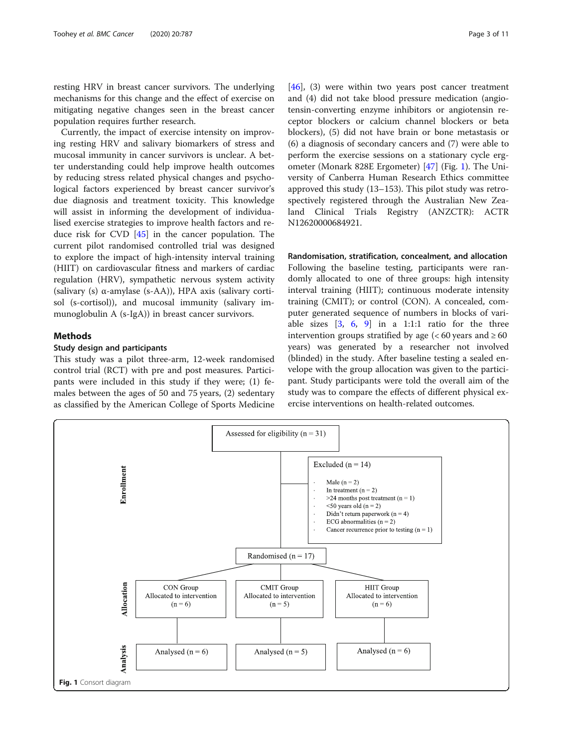<span id="page-2-0"></span>resting HRV in breast cancer survivors. The underlying mechanisms for this change and the effect of exercise on mitigating negative changes seen in the breast cancer population requires further research.

Currently, the impact of exercise intensity on improving resting HRV and salivary biomarkers of stress and mucosal immunity in cancer survivors is unclear. A better understanding could help improve health outcomes by reducing stress related physical changes and psychological factors experienced by breast cancer survivor's due diagnosis and treatment toxicity. This knowledge will assist in informing the development of individualised exercise strategies to improve health factors and reduce risk for CVD [[45](#page-9-0)] in the cancer population. The current pilot randomised controlled trial was designed to explore the impact of high-intensity interval training (HIIT) on cardiovascular fitness and markers of cardiac regulation (HRV), sympathetic nervous system activity (salivary (s) α-amylase (s-AA)), HPA axis (salivary cortisol (s-cortisol)), and mucosal immunity (salivary immunoglobulin A (s-IgA)) in breast cancer survivors.

# Methods

# Study design and participants

This study was a pilot three-arm, 12-week randomised control trial (RCT) with pre and post measures. Participants were included in this study if they were; (1) females between the ages of 50 and 75 years, (2) sedentary as classified by the American College of Sports Medicine [[46\]](#page-9-0), (3) were within two years post cancer treatment and (4) did not take blood pressure medication (angiotensin-converting enzyme inhibitors or angiotensin receptor blockers or calcium channel blockers or beta blockers), (5) did not have brain or bone metastasis or (6) a diagnosis of secondary cancers and (7) were able to perform the exercise sessions on a stationary cycle ergometer (Monark 828E Ergometer) [[47\]](#page-9-0) (Fig. 1). The University of Canberra Human Research Ethics committee approved this study (13–153). This pilot study was retrospectively registered through the Australian New Zealand Clinical Trials Registry (ANZCTR): ACTR N12620000684921.

Randomisation, stratification, concealment, and allocation Following the baseline testing, participants were randomly allocated to one of three groups: high intensity interval training (HIIT); continuous moderate intensity training (CMIT); or control (CON). A concealed, computer generated sequence of numbers in blocks of variable sizes  $[3, 6, 9]$  $[3, 6, 9]$  $[3, 6, 9]$  $[3, 6, 9]$  $[3, 6, 9]$  $[3, 6, 9]$  in a 1:1:1 ratio for the three intervention groups stratified by age ( $< 60$  years and  $\ge 60$ years) was generated by a researcher not involved (blinded) in the study. After baseline testing a sealed envelope with the group allocation was given to the participant. Study participants were told the overall aim of the study was to compare the effects of different physical exercise interventions on health-related outcomes.

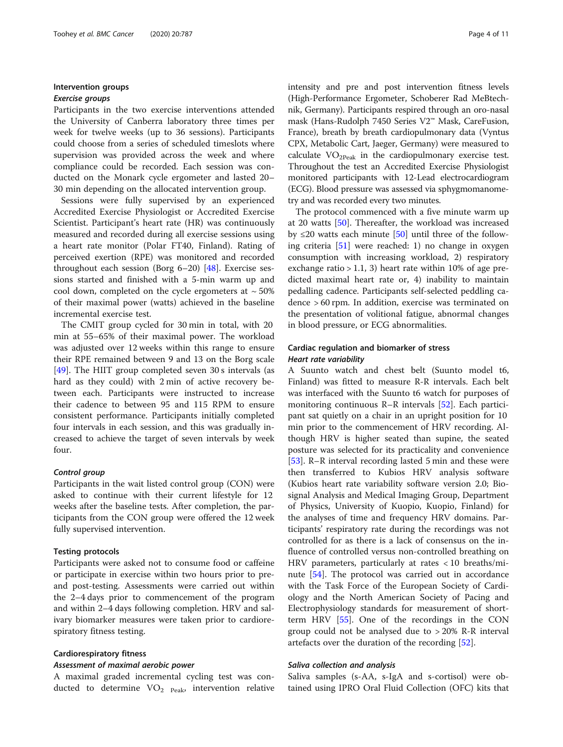# Intervention groups

#### Exercise groups

Participants in the two exercise interventions attended the University of Canberra laboratory three times per week for twelve weeks (up to 36 sessions). Participants could choose from a series of scheduled timeslots where supervision was provided across the week and where compliance could be recorded. Each session was conducted on the Monark cycle ergometer and lasted 20– 30 min depending on the allocated intervention group.

Sessions were fully supervised by an experienced Accredited Exercise Physiologist or Accredited Exercise Scientist. Participant's heart rate (HR) was continuously measured and recorded during all exercise sessions using a heart rate monitor (Polar FT40, Finland). Rating of perceived exertion (RPE) was monitored and recorded throughout each session (Borg 6–20) [[48\]](#page-9-0). Exercise sessions started and finished with a 5-min warm up and cool down, completed on the cycle ergometers at  $\sim$  50% of their maximal power (watts) achieved in the baseline incremental exercise test.

The CMIT group cycled for 30 min in total, with 20 min at 55–65% of their maximal power. The workload was adjusted over 12 weeks within this range to ensure their RPE remained between 9 and 13 on the Borg scale [[49\]](#page-9-0). The HIIT group completed seven 30 s intervals (as hard as they could) with 2 min of active recovery between each. Participants were instructed to increase their cadence to between 95 and 115 RPM to ensure consistent performance. Participants initially completed four intervals in each session, and this was gradually increased to achieve the target of seven intervals by week four.

#### Control group

Participants in the wait listed control group (CON) were asked to continue with their current lifestyle for 12 weeks after the baseline tests. After completion, the participants from the CON group were offered the 12 week fully supervised intervention.

#### Testing protocols

Participants were asked not to consume food or caffeine or participate in exercise within two hours prior to preand post-testing. Assessments were carried out within the 2–4 days prior to commencement of the program and within 2–4 days following completion. HRV and salivary biomarker measures were taken prior to cardiorespiratory fitness testing.

#### Cardiorespiratory fitness

#### Assessment of maximal aerobic power

A maximal graded incremental cycling test was conducted to determine  $VO<sub>2</sub>$  <sub>Peak</sub>, intervention relative intensity and pre and post intervention fitness levels (High-Performance Ergometer, Schoberer Rad MeBtechnik, Germany). Participants respired through an oro-nasal mask (Hans-Rudolph 7450 Series V2™ Mask, CareFusion, France), breath by breath cardiopulmonary data (Vyntus CPX, Metabolic Cart, Jaeger, Germany) were measured to calculate  $VO<sub>2Peak</sub>$  in the cardiopulmonary exercise test. Throughout the test an Accredited Exercise Physiologist monitored participants with 12-Lead electrocardiogram (ECG). Blood pressure was assessed via sphygmomanometry and was recorded every two minutes.

The protocol commenced with a five minute warm up at 20 watts [\[50\]](#page-9-0). Thereafter, the workload was increased by  $\leq$ 20 watts each minute [[50\]](#page-9-0) until three of the following criteria [\[51\]](#page-9-0) were reached: 1) no change in oxygen consumption with increasing workload, 2) respiratory exchange ratio  $> 1.1$ , 3) heart rate within 10% of age predicted maximal heart rate or, 4) inability to maintain pedalling cadence. Participants self-selected peddling cadence > 60 rpm. In addition, exercise was terminated on the presentation of volitional fatigue, abnormal changes in blood pressure, or ECG abnormalities.

# Cardiac regulation and biomarker of stress Heart rate variability

A Suunto watch and chest belt (Suunto model t6, Finland) was fitted to measure R-R intervals. Each belt was interfaced with the Suunto t6 watch for purposes of monitoring continuous R–R intervals [[52\]](#page-9-0). Each participant sat quietly on a chair in an upright position for 10 min prior to the commencement of HRV recording. Although HRV is higher seated than supine, the seated posture was selected for its practicality and convenience [[53\]](#page-9-0). R–R interval recording lasted 5 min and these were then transferred to Kubios HRV analysis software (Kubios heart rate variability software version 2.0; Biosignal Analysis and Medical Imaging Group, Department of Physics, University of Kuopio, Kuopio, Finland) for the analyses of time and frequency HRV domains. Participants' respiratory rate during the recordings was not controlled for as there is a lack of consensus on the influence of controlled versus non-controlled breathing on HRV parameters, particularly at rates < 10 breaths/mi-nute [[54](#page-9-0)]. The protocol was carried out in accordance with the Task Force of the European Society of Cardiology and the North American Society of Pacing and Electrophysiology standards for measurement of shortterm HRV [\[55](#page-9-0)]. One of the recordings in the CON group could not be analysed due to > 20% R-R interval artefacts over the duration of the recording [\[52](#page-9-0)].

#### Saliva collection and analysis

Saliva samples (s-AA, s-IgA and s-cortisol) were obtained using IPRO Oral Fluid Collection (OFC) kits that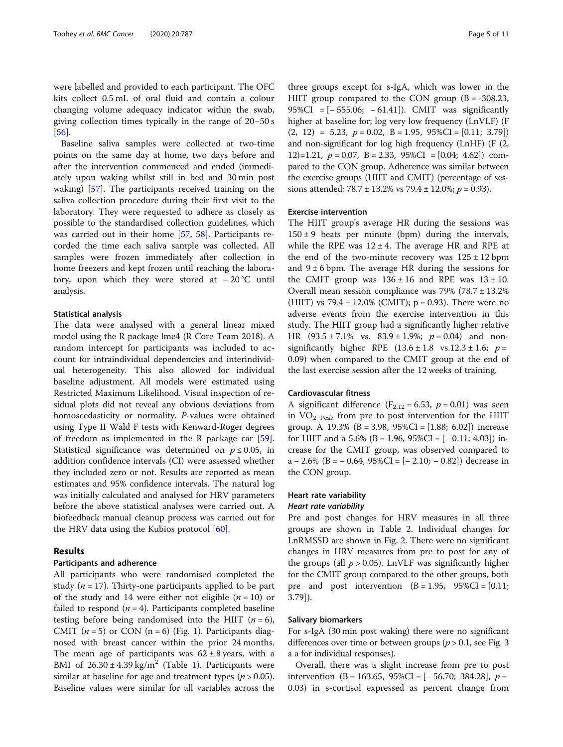were labelled and provided to each participant. The OFC kits collect 0.5 mL of oral fluid and contain a colour changing volume adequacy indicator within the swab, giving collection times typically in the range of 20–50 s [[56\]](#page-9-0).

Baseline saliva samples were collected at two-time points on the same day at home, two days before and after the intervention commenced and ended (immediately upon waking whilst still in bed and 30 min post waking) [\[57](#page-10-0)]. The participants received training on the saliva collection procedure during their first visit to the laboratory. They were requested to adhere as closely as possible to the standardised collection guidelines, which was carried out in their home [\[57](#page-10-0), [58](#page-10-0)]. Participants recorded the time each saliva sample was collected. All samples were frozen immediately after collection in home freezers and kept frozen until reaching the laboratory, upon which they were stored at − 20 °C until analysis.

#### Statistical analysis

The data were analysed with a general linear mixed model using the R package lme4 (R Core Team 2018). A random intercept for participants was included to account for intraindividual dependencies and interindividual heterogeneity. This also allowed for individual baseline adjustment. All models were estimated using Restricted Maximum Likelihood. Visual inspection of residual plots did not reveal any obvious deviations from homoscedasticity or normality. P-values were obtained using Type II Wald F tests with Kenward-Roger degrees of freedom as implemented in the R package car [\[59](#page-10-0)]. Statistical significance was determined on  $p \leq 0.05$ , in addition confidence intervals (CI) were assessed whether they included zero or not. Results are reported as mean estimates and 95% confidence intervals. The natural log was initially calculated and analysed for HRV parameters before the above statistical analyses were carried out. A biofeedback manual cleanup process was carried out for the HRV data using the Kubios protocol [\[60](#page-10-0)].

# Results

#### Participants and adherence

All participants who were randomised completed the study ( $n = 17$ ). Thirty-one participants applied to be part of the study and 14 were either not eligible  $(n = 10)$  or failed to respond ( $n = 4$ ). Participants completed baseline testing before being randomised into the HIIT  $(n = 6)$ , CMIT  $(n = 5)$  or CON  $(n = 6)$  (Fig. [1](#page-2-0)). Participants diagnosed with breast cancer within the prior 24 months. The mean age of participants was  $62 \pm 8$  years, with a BMI of  $26.30 \pm 4.39$  kg/m<sup>2</sup> (Table [1](#page-5-0)). Participants were similar at baseline for age and treatment types ( $p > 0.05$ ). Baseline values were similar for all variables across the

three groups except for s-IgA, which was lower in the HIIT group compared to the CON group  $(B = -308.23)$ , 95%CI = [− 555.06; − 61.41]). CMIT was significantly higher at baseline for; log very low frequency (LnVLF) (F  $(2, 12) = 5.23, p = 0.02, B = 1.95, 95\%CI = [0.11; 3.79])$ and non-significant for log high frequency (LnHF) (F (2, 12)=1.21,  $p = 0.07$ , B = 2.33, 95%CI = [0.04; 4.62]) compared to the CON group. Adherence was similar between the exercise groups (HIIT and CMIT) (percentage of sessions attended: 78.7 ± 13.2% vs 79.4 ± 12.0%;  $p = 0.93$ ).

#### Exercise intervention

The HIIT group's average HR during the sessions was  $150 \pm 9$  beats per minute (bpm) during the intervals, while the RPE was  $12 \pm 4$ . The average HR and RPE at the end of the two-minute recovery was  $125 \pm 12$  bpm and  $9 \pm 6$  bpm. The average HR during the sessions for the CMIT group was  $136 \pm 16$  and RPE was  $13 \pm 10$ . Overall mean session compliance was  $79\%$  (78.7  $\pm$  13.2%) (HIIT) vs  $79.4 \pm 12.0\%$  (CMIT); p = 0.93). There were no adverse events from the exercise intervention in this study. The HIIT group had a significantly higher relative HR  $(93.5 \pm 7.1\% \text{ vs. } 83.9 \pm 1.9\%; p = 0.04)$  and nonsignificantly higher RPE  $(13.6 \pm 1.8 \text{ vs. } 12.3 \pm 1.6; p =$ 0.09) when compared to the CMIT group at the end of the last exercise session after the 12 weeks of training.

#### Cardiovascular fitness

A significant difference ( $F_{2,12} = 6.53$ ,  $p = 0.01$ ) was seen in VO2 Peak from pre to post intervention for the HIIT group. A 19.3% (B = 3.98, 95%CI = [1.88; 6.02]) increase for HIIT and a  $5.6\%$  (B = 1.96,  $95\%CI = [-0.11; 4.03]$ ) increase for the CMIT group, was observed compared to a − 2.6% (B = − 0.64, 95%CI = [− 2.10; − 0.82]) decrease in the CON group.

#### Heart rate variability

#### Heart rate variability

Pre and post changes for HRV measures in all three groups are shown in Table [2.](#page-5-0) Individual changes for LnRMSSD are shown in Fig. [2.](#page-6-0) There were no significant changes in HRV measures from pre to post for any of the groups (all  $p > 0.05$ ). LnVLF was significantly higher for the CMIT group compared to the other groups, both pre and post intervention  $(B = 1.95, 95\% CI = [0.11;$ 3.79]).

#### Salivary biomarkers

For s-IgA (30 min post waking) there were no significant differences over time or between groups ( $p > 0.1$ , see Fig. [3](#page-8-0) a a for individual responses).

Overall, there was a slight increase from pre to post intervention (B = 163.65, 95%CI =  $[-56.70; 384.28]$ ,  $p =$ 0.03) in s-cortisol expressed as percent change from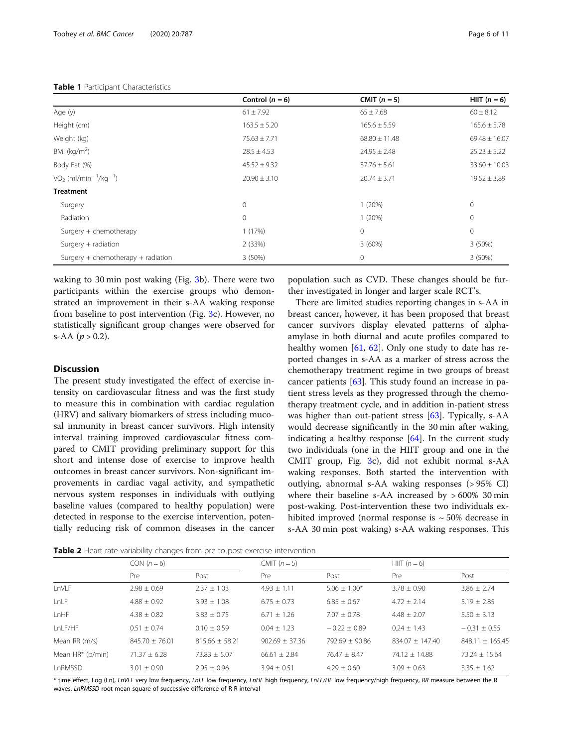#### <span id="page-5-0"></span>Table 1 Participant Characteristics

|                                                 | Control $(n = 6)$ | CMIT $(n = 5)$    | HIIT $(n = 6)$    |
|-------------------------------------------------|-------------------|-------------------|-------------------|
| Age (y)                                         | $61 \pm 7.92$     | $65 \pm 7.68$     | $60 \pm 8.12$     |
| Height (cm)                                     | $163.5 \pm 5.20$  | $165.6 \pm 5.59$  | $165.6 \pm 5.78$  |
| Weight (kg)                                     | $75.63 \pm 7.71$  | $68.80 \pm 11.48$ | $69.48 \pm 16.07$ |
| BMI ( $kg/m2$ )                                 | $28.5 \pm 4.53$   | $24.95 \pm 2.48$  | $25.23 \pm 5.22$  |
| Body Fat (%)                                    | $45.52 \pm 9.32$  | $37.76 \pm 5.61$  | $33.60 \pm 10.03$ |
| $VO2$ (ml/min <sup>-1</sup> /kg <sup>-1</sup> ) | $20.90 \pm 3.10$  | $20.74 \pm 3.71$  | $19.52 \pm 3.89$  |
| <b>Treatment</b>                                |                   |                   |                   |
| Surgery                                         | $\Omega$          | 1(20%)            | $\mathbf 0$       |
| Radiation                                       | $\Omega$          | 1(20%)            | $\mathbf 0$       |
| Surgery + chemotherapy                          | 1(17%)            | $\mathbf{0}$      | 0                 |
| Surgery $+$ radiation                           | 2 (33%)           | $3(60\%)$         | $3(50\%)$         |
| Surgery + chemotherapy + radiation              | 3(50%)            | $\mathbf 0$       | 3 (50%)           |

waking to 30 min post waking (Fig. [3](#page-8-0)b). There were two participants within the exercise groups who demonstrated an improvement in their s-AA waking response from baseline to post intervention (Fig. [3c](#page-8-0)). However, no statistically significant group changes were observed for s-AA  $(p > 0.2)$ .

# **Discussion**

The present study investigated the effect of exercise intensity on cardiovascular fitness and was the first study to measure this in combination with cardiac regulation (HRV) and salivary biomarkers of stress including mucosal immunity in breast cancer survivors. High intensity interval training improved cardiovascular fitness compared to CMIT providing preliminary support for this short and intense dose of exercise to improve health outcomes in breast cancer survivors. Non-significant improvements in cardiac vagal activity, and sympathetic nervous system responses in individuals with outlying baseline values (compared to healthy population) were detected in response to the exercise intervention, potentially reducing risk of common diseases in the cancer population such as CVD. These changes should be further investigated in longer and larger scale RCT's.

There are limited studies reporting changes in s-AA in breast cancer, however, it has been proposed that breast cancer survivors display elevated patterns of alphaamylase in both diurnal and acute profiles compared to healthy women  $[61, 62]$  $[61, 62]$  $[61, 62]$  $[61, 62]$  $[61, 62]$ . Only one study to date has reported changes in s-AA as a marker of stress across the chemotherapy treatment regime in two groups of breast cancer patients [\[63\]](#page-10-0). This study found an increase in patient stress levels as they progressed through the chemotherapy treatment cycle, and in addition in-patient stress was higher than out-patient stress [\[63\]](#page-10-0). Typically, s-AA would decrease significantly in the 30 min after waking, indicating a healthy response [[64\]](#page-10-0). In the current study two individuals (one in the HIIT group and one in the CMIT group, Fig. [3c](#page-8-0)), did not exhibit normal s-AA waking responses. Both started the intervention with outlying, abnormal s-AA waking responses (> 95% CI) where their baseline s-AA increased by  $>600\%$  30 min post-waking. Post-intervention these two individuals exhibited improved (normal response is  $\sim$  50% decrease in s-AA 30 min post waking) s-AA waking responses. This

Table 2 Heart rate variability changes from pre to post exercise intervention

|                  | $CON(n=6)$       |                  | CMIT $(n=5)$     |                  | HIIT $(n=6)$      |                   |  |  |
|------------------|------------------|------------------|------------------|------------------|-------------------|-------------------|--|--|
|                  | Pre              | Post             | Pre              | Post             | Pre               | Post              |  |  |
| LnVLF            | $7.98 + 0.69$    | $2.37 + 1.03$    | $4.93 + 1.11$    | $5.06 + 1.00*$   | $3.78 + 0.90$     | $3.86 \pm 2.74$   |  |  |
| LnLF             | $4.88 + 0.92$    | $3.93 + 1.08$    | $6.75 + 0.73$    | $6.85 + 0.67$    | $4.72 + 2.14$     | $5.19 + 2.85$     |  |  |
| LnHF             | $4.38 + 0.82$    | $3.83 + 0.75$    | $6.71 + 1.26$    | $7.07 + 0.78$    | $4.48 + 2.07$     | $5.50 \pm 3.13$   |  |  |
| LnLF/HF          | $0.51 \pm 0.74$  | $0.10 + 0.59$    | $0.04 \pm 1.23$  | $-0.22 + 0.89$   | $0.24 + 1.43$     | $-0.31 \pm 0.55$  |  |  |
| Mean RR (m/s)    | $845.70 + 76.01$ | $815.66 + 58.21$ | $902.69 + 37.36$ | $792.69 + 90.86$ | $834.07 + 147.40$ | $848.11 + 165.45$ |  |  |
| Mean HR* (b/min) | $71.37 + 6.28$   | $73.83 + 5.07$   | $66.61 + 2.84$   | $76.47 + 8.47$   | $74.12 + 14.88$   | $73.24 + 15.64$   |  |  |
| LnRMSSD          | $3.01 + 0.90$    | $2.95 + 0.96$    | $3.94 + 0.51$    | $4.29 + 0.60$    | $3.09 + 0.63$     | $3.35 + 1.62$     |  |  |

\* time effect, Log (Ln), LnVLF very low frequency, LnLF low frequency, LnHF high frequency, LnLF/HF low frequency/high frequency, RR measure between the R waves, LnRMSSD root mean square of successive difference of R-R interval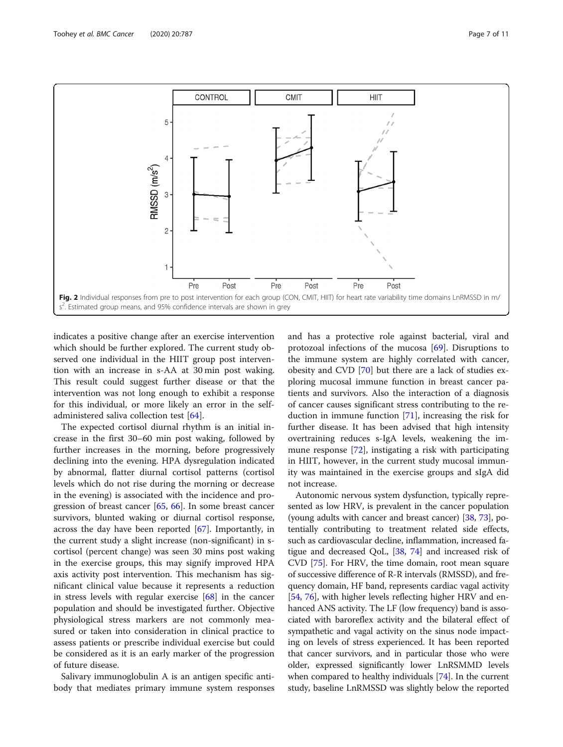<span id="page-6-0"></span>

indicates a positive change after an exercise intervention which should be further explored. The current study observed one individual in the HIIT group post intervention with an increase in s-AA at 30 min post waking. This result could suggest further disease or that the intervention was not long enough to exhibit a response for this individual, or more likely an error in the selfadministered saliva collection test [[64\]](#page-10-0).

The expected cortisol diurnal rhythm is an initial increase in the first 30–60 min post waking, followed by further increases in the morning, before progressively declining into the evening. HPA dysregulation indicated by abnormal, flatter diurnal cortisol patterns (cortisol levels which do not rise during the morning or decrease in the evening) is associated with the incidence and progression of breast cancer [[65](#page-10-0), [66\]](#page-10-0). In some breast cancer survivors, blunted waking or diurnal cortisol response, across the day have been reported [[67\]](#page-10-0). Importantly, in the current study a slight increase (non-significant) in scortisol (percent change) was seen 30 mins post waking in the exercise groups, this may signify improved HPA axis activity post intervention. This mechanism has significant clinical value because it represents a reduction in stress levels with regular exercise [\[68](#page-10-0)] in the cancer population and should be investigated further. Objective physiological stress markers are not commonly measured or taken into consideration in clinical practice to assess patients or prescribe individual exercise but could be considered as it is an early marker of the progression of future disease.

Salivary immunoglobulin A is an antigen specific antibody that mediates primary immune system responses and has a protective role against bacterial, viral and protozoal infections of the mucosa [\[69\]](#page-10-0). Disruptions to the immune system are highly correlated with cancer, obesity and CVD [\[70\]](#page-10-0) but there are a lack of studies exploring mucosal immune function in breast cancer patients and survivors. Also the interaction of a diagnosis of cancer causes significant stress contributing to the reduction in immune function [[71\]](#page-10-0), increasing the risk for further disease. It has been advised that high intensity overtraining reduces s-IgA levels, weakening the immune response [\[72](#page-10-0)], instigating a risk with participating in HIIT, however, in the current study mucosal immunity was maintained in the exercise groups and sIgA did not increase.

Autonomic nervous system dysfunction, typically represented as low HRV, is prevalent in the cancer population (young adults with cancer and breast cancer) [\[38,](#page-9-0) [73\]](#page-10-0), potentially contributing to treatment related side effects, such as cardiovascular decline, inflammation, increased fatigue and decreased QoL, [\[38,](#page-9-0) [74\]](#page-10-0) and increased risk of CVD [[75](#page-10-0)]. For HRV, the time domain, root mean square of successive difference of R-R intervals (RMSSD), and frequency domain, HF band, represents cardiac vagal activity [[54](#page-9-0), [76](#page-10-0)], with higher levels reflecting higher HRV and enhanced ANS activity. The LF (low frequency) band is associated with baroreflex activity and the bilateral effect of sympathetic and vagal activity on the sinus node impacting on levels of stress experienced. It has been reported that cancer survivors, and in particular those who were older, expressed significantly lower LnRSMMD levels when compared to healthy individuals [\[74\]](#page-10-0). In the current study, baseline LnRMSSD was slightly below the reported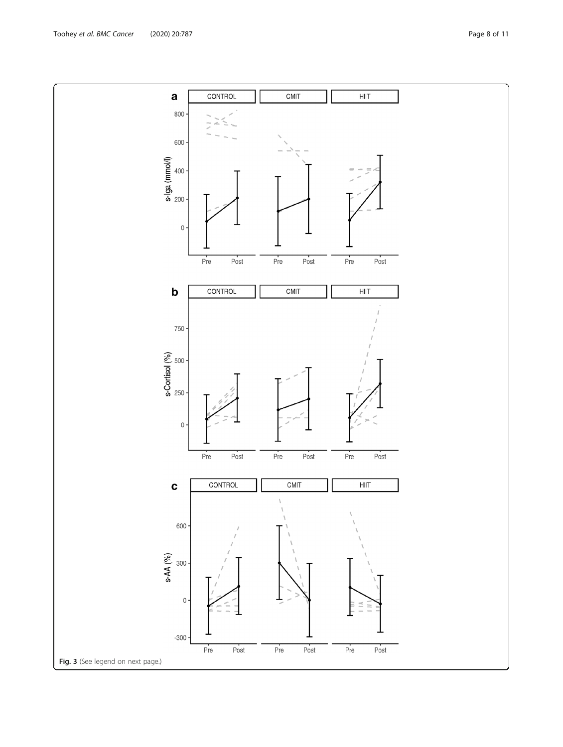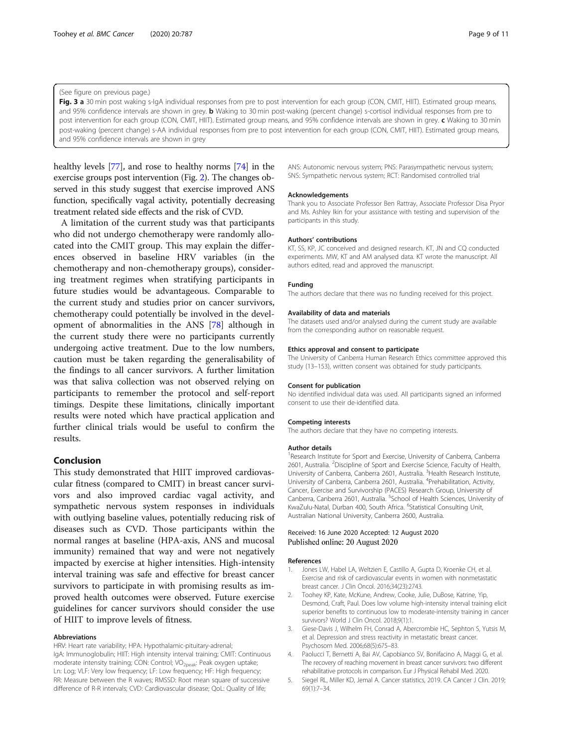#### <span id="page-8-0"></span>(See figure on previous page.)

Fig. 3 a 30 min post waking s-IgA individual responses from pre to post intervention for each group (CON, CMIT, HIIT). Estimated group means, and 95% confidence intervals are shown in grey. **b** Waking to 30 min post-waking (percent change) s-cortisol individual responses from pre to post intervention for each group (CON, CMIT, HIIT). Estimated group means, and 95% confidence intervals are shown in grey. c Waking to 30 min post-waking (percent change) s-AA individual responses from pre to post intervention for each group (CON, CMIT, HIIT). Estimated group means, and 95% confidence intervals are shown in grey

healthy levels [\[77\]](#page-10-0), and rose to healthy norms [\[74\]](#page-10-0) in the exercise groups post intervention (Fig. [2](#page-6-0)). The changes observed in this study suggest that exercise improved ANS function, specifically vagal activity, potentially decreasing treatment related side effects and the risk of CVD.

A limitation of the current study was that participants who did not undergo chemotherapy were randomly allocated into the CMIT group. This may explain the differences observed in baseline HRV variables (in the chemotherapy and non-chemotherapy groups), considering treatment regimes when stratifying participants in future studies would be advantageous. Comparable to the current study and studies prior on cancer survivors, chemotherapy could potentially be involved in the development of abnormalities in the ANS [[78\]](#page-10-0) although in the current study there were no participants currently undergoing active treatment. Due to the low numbers, caution must be taken regarding the generalisability of the findings to all cancer survivors. A further limitation was that saliva collection was not observed relying on participants to remember the protocol and self-report timings. Despite these limitations, clinically important results were noted which have practical application and further clinical trials would be useful to confirm the results.

# Conclusion

This study demonstrated that HIIT improved cardiovascular fitness (compared to CMIT) in breast cancer survivors and also improved cardiac vagal activity, and sympathetic nervous system responses in individuals with outlying baseline values, potentially reducing risk of diseases such as CVD. Those participants within the normal ranges at baseline (HPA-axis, ANS and mucosal immunity) remained that way and were not negatively impacted by exercise at higher intensities. High-intensity interval training was safe and effective for breast cancer survivors to participate in with promising results as improved health outcomes were observed. Future exercise guidelines for cancer survivors should consider the use of HIIT to improve levels of fitness.

#### Abbreviations

HRV: Heart rate variability; HPA: Hypothalamic-pituitary-adrenal; IgA: Immunoglobulin; HIIT: High intensity interval training; CMIT: Continuous moderate intensity training; CON: Control; VO<sub>2peak</sub>: Peak oxygen uptake; Ln: Log; VLF: Very low frequency; LF: Low frequency; HF: High frequency; RR: Measure between the R waves; RMSSD: Root mean square of successive difference of R-R intervals; CVD: Cardiovascular disease; QoL: Quality of life;

ANS: Autonomic nervous system; PNS: Parasympathetic nervous system; SNS: Sympathetic nervous system; RCT: Randomised controlled trial

#### Acknowledgements

Thank you to Associate Professor Ben Rattray, Associate Professor Disa Pryor and Ms. Ashley Ikin for your assistance with testing and supervision of the participants in this study.

#### Authors' contributions

KT, SS, KP, JC conceived and designed research. KT, JN and CQ conducted experiments. MW, KT and AM analysed data. KT wrote the manuscript. All authors edited, read and approved the manuscript.

#### Funding

The authors declare that there was no funding received for this project.

#### Availability of data and materials

The datasets used and/or analysed during the current study are available from the corresponding author on reasonable request.

#### Ethics approval and consent to participate

The University of Canberra Human Research Ethics committee approved this study (13–153), written consent was obtained for study participants.

#### Consent for publication

No identified individual data was used. All participants signed an informed consent to use their de-identified data.

#### Competing interests

The authors declare that they have no competing interests.

#### Author details

<sup>1</sup> Research Institute for Sport and Exercise, University of Canberra, Canberra 2601, Australia. <sup>2</sup>Discipline of Sport and Exercise Science, Faculty of Health, University of Canberra, Canberra 2601, Australia. <sup>3</sup> Health Research Institute University of Canberra, Canberra 2601, Australia. <sup>4</sup>Prehabilitation, Activity, Cancer, Exercise and Survivorship (PACES) Research Group, University of Canberra, Canberra 2601, Australia. <sup>5</sup>School of Health Sciences, University of KwaZulu-Natal, Durban 400, South Africa. <sup>6</sup>Statistical Consulting Unit Australian National University, Canberra 2600, Australia.

#### Received: 16 June 2020 Accepted: 12 August 2020 Published online: 20 August 2020

#### References

- 1. Jones LW, Habel LA, Weltzien E, Castillo A, Gupta D, Kroenke CH, et al. Exercise and risk of cardiovascular events in women with nonmetastatic breast cancer. J Clin Oncol. 2016;34(23):2743.
- 2. Toohey KP, Kate, McKune, Andrew, Cooke, Julie, DuBose, Katrine, Yip, Desmond, Craft, Paul. Does low volume high-intensity interval training elicit superior benefits to continuous low to moderate-intensity training in cancer survivors? World J Clin Oncol. 2018;9(1):1.
- 3. Giese-Davis J, Wilhelm FH, Conrad A, Abercrombie HC, Sephton S, Yutsis M, et al. Depression and stress reactivity in metastatic breast cancer. Psychosom Med. 2006;68(5):675–83.
- 4. Paolucci T, Bernetti A, Bai AV, Capobianco SV, Bonifacino A, Maggi G, et al. The recovery of reaching movement in breast cancer survivors: two different rehabilitative protocols in comparison. Eur J Physical Rehabil Med. 2020.
- 5. Siegel RL, Miller KD, Jemal A. Cancer statistics, 2019. CA Cancer J Clin. 2019; 69(1):7–34.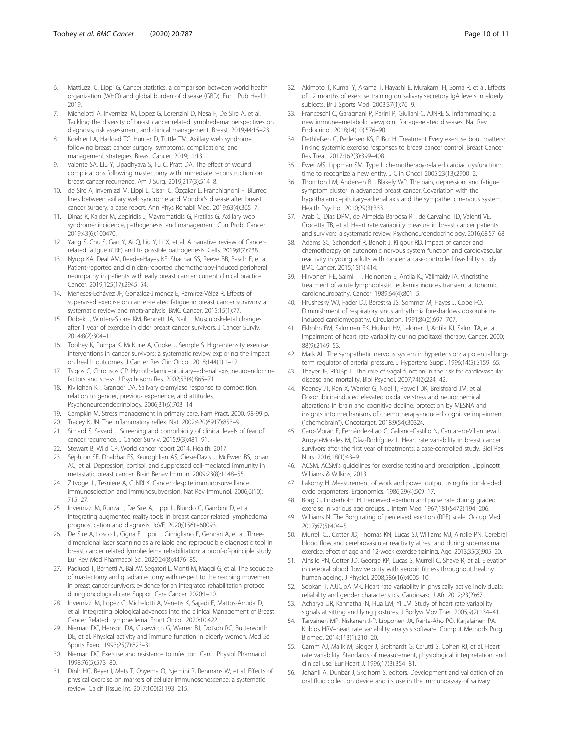- <span id="page-9-0"></span>6. Mattiuzzi C, Lippi G. Cancer statistics: a comparison between world health organization (WHO) and global burden of disease (GBD). Eur J Pub Health. 2019.
- 7. Michelotti A, Invernizzi M, Lopez G, Lorenzini D, Nesa F, De Sire A, et al. Tackling the diversity of breast cancer related lymphedema: perspectives on diagnosis, risk assessment, and clinical management. Breast. 2019;44:15–23.
- Koehler LA, Haddad TC, Hunter D, Tuttle TM. Axillary web syndrome following breast cancer surgery: symptoms, complications, and management strategies. Breast Cancer. 2019;11:13.
- Valente SA, Liu Y, Upadhyaya S, Tu C, Pratt DA. The effect of wound complications following mastectomy with immediate reconstruction on breast cancer recurrence. Am J Surg. 2019;217(3):514–8.
- 10. de Sire A, Invernizzi M, Lippi L, Cisari C, Özçakar L, Franchignoni F. Blurred lines between axillary web syndrome and Mondor's disease after breast cancer surgery: a case report. Ann Phys Rehabil Med. 2019;63(4):365–7.
- 11. Dinas K, Kalder M, Zepiridis L, Mavromatidis G, Pratilas G. Axillary web syndrome: incidence, pathogenesis, and management. Curr Probl Cancer. 2019;43(6):100470.
- 12. Yang S, Chu S, Gao Y, Ai Q, Liu Y, Li X, et al. A narrative review of Cancerrelated fatigue (CRF) and its possible pathogenesis. Cells. 2019;8(7):738.
- 13. Nyrop KA, Deal AM, Reeder-Hayes KE, Shachar SS, Reeve BB, Basch E, et al. Patient-reported and clinician-reported chemotherapy-induced peripheral neuropathy in patients with early breast cancer: current clinical practice. Cancer. 2019;125(17):2945–54.
- 14. Meneses-Echávez JF, González-Jiménez E, Ramírez-Vélez R. Effects of supervised exercise on cancer-related fatigue in breast cancer survivors: a systematic review and meta-analysis. BMC Cancer. 2015;15(1):77.
- 15. Dobek J, Winters-Stone KM, Bennett JA, Nail L. Musculoskeletal changes after 1 year of exercise in older breast cancer survivors. J Cancer Surviv. 2014;8(2):304–11.
- 16. Toohey K, Pumpa K, McKune A, Cooke J, Semple S. High-intensity exercise interventions in cancer survivors: a systematic review exploring the impact on health outcomes. J Cancer Res Clin Oncol. 2018;144(1):1–12.
- 17. Tsigos C, Chrousos GP. Hypothalamic–pituitary–adrenal axis, neuroendocrine factors and stress. J Psychosom Res. 2002;53(4):865–71.
- 18. Kivlighan KT, Granger DA. Salivary α-amylase response to competition: relation to gender, previous experience, and attitudes. Psychoneuroendocrinology. 2006;31(6):703–14.
- 19. Campkin M. Stress management in primary care. Fam Pract. 2000. 98-99 p.
- 20. Tracey KJJN. The inflammatory reflex. Nat. 2002;420(6917):853–9. 21. Simard S, Savard J. Screening and comorbidity of clinical levels of fear of
- cancer recurrence. J Cancer Surviv. 2015;9(3):481–91.
- 22. Stewart B, Wild CP. World cancer report 2014. Health. 2017.
- 23. Sephton SE, Dhabhar FS, Keuroghlian AS, Giese-Davis J, McEwen BS, Ionan AC, et al. Depression, cortisol, and suppressed cell-mediated immunity in metastatic breast cancer. Brain Behav Immun. 2009;23(8):1148–55.
- 24. Zitvogel L, Tesniere A, GJNRI K. Cancer despite immunosurveillance: immunoselection and immunosubversion. Nat Rev Immunol. 2006;6(10): 715–27.
- 25. Invernizzi M, Runza L, De Sire A, Lippi L, Blundo C, Gambini D, et al. Integrating augmented reality tools in breast cancer related lymphedema prognostication and diagnosis. JoVE. 2020;(156):e60093.
- 26. De Sire A, Losco L, Cigna E, Lippi L, Gimigliano F, Gennari A, et al. Threedimensional laser scanning as a reliable and reproducible diagnostic tool in breast cancer related lymphedema rehabilitation: a proof-of-principle study. Eur Rev Med Pharmacol Sci. 2020;24(8):4476–85.
- 27. Paolucci T, Bernetti A, Bai AV, Segatori L, Monti M, Maggi G, et al. The sequelae of mastectomy and quadrantectomy with respect to the reaching movement in breast cancer survivors: evidence for an integrated rehabilitation protocol during oncological care. Support Care Cancer. 2020:1–10.
- 28. Invernizzi M, Lopez G, Michelotti A, Venetis K, Sajjadi E, Mattos-Arruda D, et al. Integrating biological advances into the clinical Management of Breast Cancer Related Lymphedema. Front Oncol. 2020;10:422.
- 29. Nieman DC, Henson DA, Gusewitch G, Warren BJ, Dotson RC, Butterworth DE, et al. Physical activity and immune function in elderly women. Med Sci Sports Exerc. 1993;25(7):823–31.
- 30. Nieman DC. Exercise and resistance to infection. Can J Physiol Pharmacol. 1998;76(5):573–80.
- 31. Dinh HC, Beyer I, Mets T, Onyema O, Njemini R, Renmans W, et al. Effects of physical exercise on markers of cellular immunosenescence: a systematic review. Calcif Tissue Int. 2017;100(2):193–215.
- 32. Akimoto T, Kumai Y, Akama T, Hayashi E, Murakami H, Soma R, et al. Effects of 12 months of exercise training on salivary secretory IgA levels in elderly subjects. Br J Sports Med. 2003;37(1):76–9.
- 33. Franceschi C, Garagnani P, Parini P, Giuliani C, AJNRE S. Inflammaging: a new immune–metabolic viewpoint for age-related diseases. Nat Rev Endocrinol. 2018;14(10):576–90.
- Dethlefsen C, Pedersen KS, PJBcr H. Treatment Every exercise bout matters: linking systemic exercise responses to breast cancer control. Breast Cancer Res Treat. 2017;162(3):399–408.
- 35. Ewer MS, Lippman SM. Type II chemotherapy-related cardiac dysfunction: time to recognize a new entity. J Clin Oncol. 2005;23(13):2900–2.
- 36. Thornton LM, Andersen BL, Blakely WP. The pain, depression, and fatigue symptom cluster in advanced breast cancer: Covariation with the hypothalamic–pituitary–adrenal axis and the sympathetic nervous system. Health Psychol. 2010;29(3):333.
- 37. Arab C, Dias DPM, de Almeida Barbosa RT, de Carvalho TD, Valenti VE, Crocetta TB, et al. Heart rate variability measure in breast cancer patients and survivors: a systematic review. Psychoneuroendocrinology. 2016;68:57–68.
- 38. Adams SC, Schondorf R, Benoit J, Kilgour RD. Impact of cancer and chemotherapy on autonomic nervous system function and cardiovascular reactivity in young adults with cancer: a case-controlled feasibility study. BMC Cancer. 2015;15(1):414.
- 39. Hirvonen HE, Salmi TT, Heinonen E, Antila KJ, Välimäkiy IA. Vincristine treatment of acute lymphoblastic leukemia induces transient autonomic cardioneuropathy. Cancer. 1989;64(4):801–5.
- 40. Hrushesky WJ, Fader DJ, Berestka JS, Sommer M, Hayes J, Cope FO. Diminishment of respiratory sinus arrhythmia foreshadows doxorubicininduced cardiomyopathy. Circulation. 1991;84(2):697–707.
- 41. Ekholm EM, Salminen EK, Huikuri HV, Jalonen J, Antila KJ, Salmi TA, et al. Impairment of heart rate variability during paclitaxel therapy. Cancer. 2000; 88(9):2149–53.
- 42. Mark AL. The sympathetic nervous system in hypertension: a potential longterm regulator of arterial pressure. J Hypertens Suppl. 1996;14(5):S159-65.
- 43. Thayer JF, RDJBp L. The role of vagal function in the risk for cardiovascular disease and mortality. Biol Psychol. 2007;74(2):224–42.
- 44. Keeney JT, Ren X, Warrier G, Noel T, Powell DK, Brelsfoard JM, et al. Doxorubicin-induced elevated oxidative stress and neurochemical alterations in brain and cognitive decline: protection by MESNA and insights into mechanisms of chemotherapy-induced cognitive impairment ("chemobrain"). Oncotarget. 2018;9(54):30324.
- 45. Caro-Morán E, Fernández-Lao C, Galiano-Castillo N, Cantarero-Villanueva I, Arroyo-Morales M, Díaz-Rodríguez L. Heart rate variability in breast cancer survivors after the first year of treatments: a case-controlled study. Biol Res Nurs. 2016;18(1):43–9.
- 46. ACSM. ACSM's guidelines for exercise testing and prescription: Lippincott Williams & Wilkins; 2013.
- Lakomy H. Measurement of work and power output using friction-loaded cycle ergometers. Ergonomics. 1986;29(4):509–17.
- 48. Borg G, Linderholm H. Perceived exertion and pulse rate during graded exercise in various age groups. J Intern Med. 1967;181(S472):194–206.
- 49. Williams N. The Borg rating of perceived exertion (RPE) scale. Occup Med. 2017;67(5):404–5.
- 50. Murrell CJ, Cotter JD, Thomas KN, Lucas SJ, Williams MJ, Ainslie PN. Cerebral blood flow and cerebrovascular reactivity at rest and during sub-maximal exercise: effect of age and 12-week exercise training. Age. 2013;35(3):905–20.
- 51. Ainslie PN, Cotter JD, George KP, Lucas S, Murrell C, Shave R, et al. Elevation in cerebral blood flow velocity with aerobic fitness throughout healthy human ageing. J Physiol. 2008;586(16):4005–10.
- 52. Sookan T, AJJCjoA MK. Heart rate variability in physically active individuals: reliability and gender characteristics. Cardiovasc J Afr. 2012;23(2):67.
- 53. Acharya UR, Kannathal N, Hua LM, Yi LM. Study of heart rate variability signals at sitting and lying postures. J Bodyw Mov Ther. 2005;9(2):134–41.
- 54. Tarvainen MP, Niskanen J-P, Lipponen JA, Ranta-Aho PO, Karjalainen PA. Kubios HRV–heart rate variability analysis software. Comput Methods Prog Biomed. 2014;113(1):210–20.
- 55. Camm AJ, Malik M, Bigger J, Breithardt G, Cerutti S, Cohen RJ, et al. Heart rate variability. Standards of measurement, physiological interpretation, and clinical use. Eur Heart J. 1996;17(3):354–81.
- 56. Jehanli A, Dunbar J, Skelhorn S, editors. Development and validation of an oral fluid collection device and its use in the immunoassay of salivary